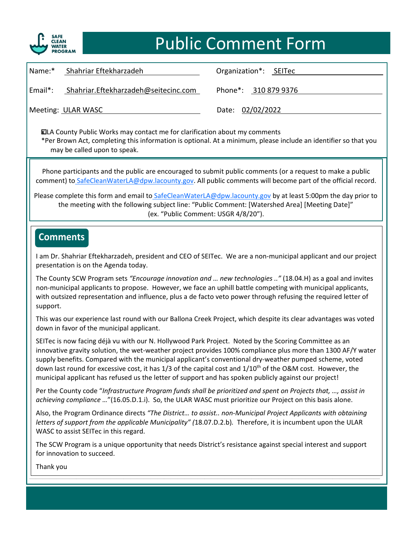

### Public Comment Form

| Name:*  | Shahriar Eftekharzadeh               | Organization*: SEITec |
|---------|--------------------------------------|-----------------------|
| Email*: | Shahriar.Eftekharzadeh@seitecinc.com | Phone*: 310 879 9376  |
|         | Meeting: ULAR WASC                   | Date: 02/02/2022      |

x LA County Public Works may contact me for clarification about my comments \*Per Brown Act, completing this information is optional. At a minimum, please include an identifier so that you may be called upon to speak.

Phone participants and the public are encouraged to submit public comments (or a request to make a public comment) to SafeCleanWaterLA@dpw.lacounty.gov. All public comments will become part of the official record.

Please complete this form and email to SafeCleanWaterLA@dpw.lacounty.gov by at least 5:00pm the day prior to the meeting with the following subject line: "Public Comment: [Watershed Area] [Meeting Date]" (ex. "Public Comment: USGR 4/8/20").

### **Comments**

\_\_\_\_\_\_\_\_\_\_\_\_\_\_\_\_\_\_\_\_\_\_\_\_\_\_\_\_\_\_\_\_\_\_\_\_\_\_\_\_\_\_\_\_\_\_\_\_\_\_\_\_ I am Dr. Shahriar Eftekharzadeh, president and CEO of SEITec. We are a non‐municipal applicant and our project presentation is on the Agenda today.

The County SCW Program sets *Encourage innovation and ... hew technologies ..* (18.04.H) as a goal and invites and invites and the competing with municipal applicants, with outsized representation and influence, plus a de facto veto power through refusing the required letter of<br>
support The County SCW Program sets *"Encourage innovation and … new technologies .."* (18.04.H) as a goal and invites support.

\_\_\_\_\_\_\_\_\_\_\_\_\_\_\_\_\_\_\_\_\_\_\_\_\_\_\_\_\_\_\_\_\_\_\_\_\_\_\_\_\_\_\_\_\_\_\_\_\_\_\_\_ This was our experience last round with our Ballona Creek Project, which despite its clear advantages was voted down in favor of the municipal applicant.

SEITec is now facing déjà vu with our N. Hollywood Park Project. Noted by the Scoring Committee as an Second Li \_\_\_\_\_\_\_\_\_\_\_\_\_\_\_\_\_\_\_\_\_\_\_\_\_\_\_\_\_\_\_\_\_\_\_\_\_\_\_\_\_\_\_\_\_\_\_\_\_\_\_\_ supply benefits. Compared with the municipal applicant's conventional dry‐weather pumped scheme, voted down last round for excessive cost, it has 1/3 of the capital cost and  $1/10^{th}$  of the O&M cost. However, the municipal anglicant has refused us the letter of support and has speken publish against our preject! innovative gravity solution, the wet‐weather project provides 100% compliance plus more than 1300 AF/Y water municipal applicant has refused us the letter of support and has spoken publicly against our project!

Per the County code "Infrastructure Program funds shall be prioritized and spent on Projects that, ..., assist in achieving compliance *…*"(16.05.D.1.i). So, the ULAR WASC must prioritize our Project on this basis alone.

Also, the Program Ordinance directs "The District... to assist.. non-Municipal Project Applicants with obtaining letters of support from the applicable Municipality" (18.07.D.2.b). Therefore, it is incumbent upon the ULAR<br>WASC to assist SEITec in this regard. WASC to assist SEITec in this regard.

\_\_\_\_\_\_\_\_\_\_\_\_\_\_\_\_\_\_\_\_\_\_\_\_\_\_\_\_\_\_\_\_\_\_\_\_\_\_\_\_\_\_\_\_\_\_\_\_\_\_\_\_ The SCW Program is a unique opportunity that needs District's resistance against special interest and support  $\Box$  for innovation to succeed.

 $\Box$  Thank you Thank you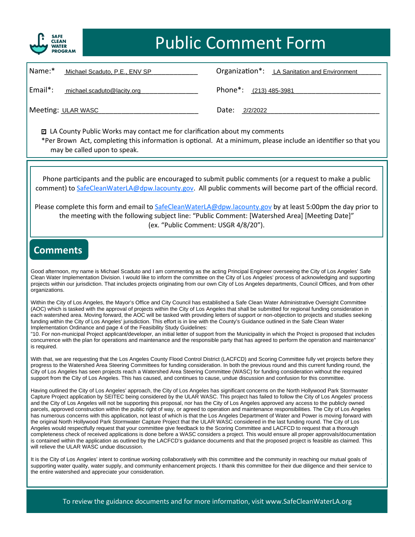

# Public Comment Form

| Name:*<br>Michael Scaduto, P.E., ENV SP | Organization*: LA Sanitation and Environment |
|-----------------------------------------|----------------------------------------------|
| Email*:<br>michael.scaduto@lacity.org   | Phone <sup>*</sup> : $(213)$ 485-3981        |
| Meeting: ULAR WASC                      | Date:<br>2/2/2022                            |

■ LA County Public Works may contact me for clarification about my comments \*Per Brown Act, completing this information is optional. At a minimum, please include an identifier so that you may be called upon to speak.

Phone participants and the public are encouraged to submit public comments (or a request to make a public comment) to [SafeCleanWaterLA@dpw.lacounty.gov.](mailto:SafeCleanWaterLA@dpw.lacounty.gov) All public comments will become part of the official record.

Please complete this form and email to [SafeCleanWaterLA@dpw.lacounty.gov](mailto:SafeCleanWaterLA@dpw.lacounty.gov) by at least 5:00pm the day prior to the meeting with the following subject line: "Public Comment: [Watershed Area] [Meeting Date]" (ex. "Public Comment: USGR 4/8/20").

#### **Comments**

Good afternoon, my name is Michael Scaduto and I am commenting as the acting Principal Engineer overseeing the City of Los Angeles' Safe<br>Clean Water Implementation Division, Lyould like to inform the committee on the City projects with nour jurisdiction. That includes projects originating from our own City of Los Angeles departments, Council Offices, and from other projects within our jurisdiction. That includes projects originating from ou Clean Water Implementation Division. I would like to inform the committee on the City of Los Angeles' process of acknowledging and supporting organizations.

\_\_\_\_\_\_\_\_\_\_\_\_\_\_\_\_\_\_\_\_\_\_\_\_\_\_\_\_\_\_\_\_\_\_\_\_\_\_\_\_\_\_\_\_\_\_\_\_\_\_\_\_ Within the City of Los Angeles, the Mayor's Office and City Council has established a Safe Clean Water Administrative Oversight Committee (AOC) which is tasked with the approval of projects within the City of Los Angeles that shall be submitted for regional funding consideration in each watershed area. Moving forward, the AOC will be tasked with providing le Tunumg wimm the City of Los Angeles jurisuiciton. This enott is in the with the County's Guidance outlined in the Sale Clean Water<br>Implementation Ordinance and page 4 of the Feasibility Study Guidelines:<br>"10. For non-munic (AOC) which is tasked with the approval of projects within the City of Los Angeles that shall be submitted for regional funding consideration in funding within the City of Los Angeles' jurisdiction. This effort is in line with the County's Guidance outlined in the Safe Clean Water Implementation Ordinance and page 4 of the Feasibility Study Guidelines:

concurrence with the plan for operations and maintenance and the responsible party that has agreed to perform the operation and maintenance" is required. is required.

With that, we are requesting that the Los Angeles County Flood Control District (LACFCD) and Scoring Committee fully vet projects before they progress to the watershed Area Steering Committees for funding consideration. In both the previous round and this current funding round, the<br>City of Los Angeles has seen projects reach a Watershed Area Steering Committee ( progress to the Watershed Area Steering Committees for funding consideration. In both the previous round and this current funding round, the support from the City of Los Angeles. This has caused, and continues to cause, undue discussion and confusion for this committee.

Eupport nom the City of Los Angeles' approach, the City of Los Angeles has significant concerns on the North Hollywood Park Stormwater<br>Having outlined the City of Los Angeles' approach, the City of Los Angeles has signific Capture Project application by SEITEC being considered by the ULAR WASC. This project has failed to follow the City of Los Angeles' process<br>and the City of Los Angeles will not be supporting this proposal, nor has the City parcels, approved construction within the public right of way, or agreed to operation and maintenance responsibilities. The City of Los Angeles<br>has numerous concerns with this application, not least of which is that the Lo The original Notar Hollywood Park Stoffmede Capture Project that the OLAN WASC considered in the last funding found. The City of Los<br>Angeles would respectfully request that your committee give feedback to the Scoring Commi is contained within the application as outlined by the LACFCD's guidance documents and that the proposed project is feasible as claimed. This will relieve the ULAR WASC undue discussion. Capture Project application by SEITEC being considered by the ULAR WASC. This project has failed to follow the City of Los Angeles' process parcels, approved construction within the public right of way, or agreed to operation and maintenance responsibilities. The City of Los Angeles the original North Hollywood Park Stormwater Capture Project that the ULAR WASC considered in the last funding round. The City of Los completeness check of received applications is done before a WASC considers a project. This would ensure all proper approvals/documentation will relieve the ULAR WASC undue discussion.

It is the City of Los Angeles' intent to continue working collaboratively with this committee and the community in reaching our mutual goals of supporting water quality, water supply, and community enhancement projects. I thank this committee for their due diligence and their service to<br>the entire watershed and appreciate your consideration. the entire watershed and appreciate your consideration.

To review the guidance documents and for more information, visit www.SafeCleanWaterLA.org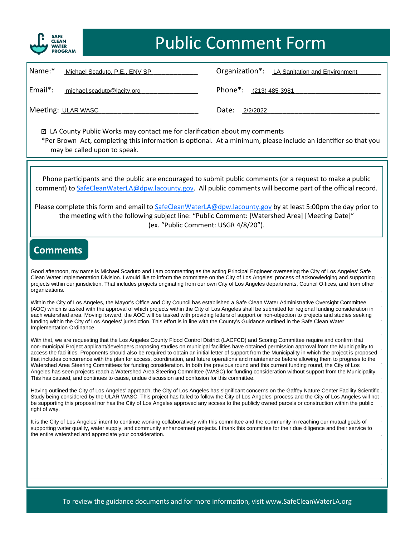

# Public Comment Form

| Name:*  | Michael Scaduto, P.E., ENV SP | Organization*: LA Sanitation and Environment |
|---------|-------------------------------|----------------------------------------------|
| Email*: | michael.scaduto@lacity.org    | Phone*: (213) 485-3981                       |
|         | Meeting: ULAR WASC            | Date:<br>2/2/2022                            |

■ LA County Public Works may contact me for clarification about my comments \*Per Brown Act, completing this information is optional. At a minimum, please include an identifier so that you may be called upon to speak.

Phone participants and the public are encouraged to submit public comments (or a request to make a public comment) to [SafeCleanWaterLA@dpw.lacounty.gov.](mailto:SafeCleanWaterLA@dpw.lacounty.gov) All public comments will become part of the official record.

Please complete this form and email to [SafeCleanWaterLA@dpw.lacounty.gov](mailto:SafeCleanWaterLA@dpw.lacounty.gov) by at least 5:00pm the day prior to the meeting with the following subject line: "Public Comment: [Watershed Area] [Meeting Date]" (ex. "Public Comment: USGR 4/8/20").

#### **Comments**

Good afternoon, my name is Michael Scaduto and I am commenting as the acting Principal Engineer overseeing the City of Los Angeles' Safe<br>Clean Water Implementation Division, Lyould like to inform the committee on the City projects with nour jurisdiction. That includes projects originating from our own City of Los Angeles departments, Council Offices, and from other projects within our jurisdiction. That includes projects originating from ou Clean Water Implementation Division. I would like to inform the committee on the City of Los Angeles' process of acknowledging and supporting organizations.

\_\_\_\_\_\_\_\_\_\_\_\_\_\_\_\_\_\_\_\_\_\_\_\_\_\_\_\_\_\_\_\_\_\_\_\_\_\_\_\_\_\_\_\_\_\_\_\_\_\_\_\_ Within the City of Los Angeles, the Mayor's Office and City Council has established a Safe Clean Water Administrative Oversight Committee (AOC) which is tasked with the approval of which projects within the City of Los Angeles shall be submitted for regional funding consideration in each watershed area. Moving forward, the AOC will be tasked with providing l funding within the City of Los Angeles' jurisdiction. This effort is in line with the County's Guidance outlined in the Safe Clean Water<br>Implementation Ordinance. (AOC) which is tasked with the approval of which projects within the City of Los Angeles shall be submitted for regional funding consideration in Implementation Ordinance.

With that, we are requesting that the Los Angeles County Flood Control District (LACFCD) and Scoring Committee require and confirm that<br>non-municipal Project applicant/developers proposing studies on municipal facilities h access the facilities. Proponents should also be required to obtain an initial letter of support from the Municipality in which the project is proposed that includes concurrence with the plan for access, coordination, and watershed Area Steering Committees for funding consideration. In both the previous round and this current funding round, the City of Los<br>Angeles has seen projects reach a Watershed Area Steering Committee (WASC) for fundin With that, we are requesting that the Los Angeles County Flood Control District (LACFCD) and Scoring Committee require and confirm that that includes concurrence with the plan for access, coordination, and future operations and maintenance before allowing them to progress to the Watershed Area Steering Committees for funding consideration. In both the previous round and this current funding round, the City of Los This has caused, and continues to cause, undue discussion and confusion for this committee.

Having outlined the City of Los Angeles' approach, the City of Los Angeles has significant concerns on the Gaffey Nature Center Facility Scientific Study being considered by the ULAR WASC. This project has failed to follow the City of Los Angeles' process and the City of Los Angeles will not be supporting this proposal nor has the City of Los Angeles approved any acce Study being considered by the ULAR WASC. This project has failed to follow the City of Los Angeles' process and the City of Los Angeles will not right of way.

right of way.<br>It is the City of Los Angeles' intent to continue working collaboratively with this committee and the community in reaching our mutual goals of It is the City of Los Angeles intent to commune working conductatively with this commune and the community in reaching our mutual goals of<br>supporting water quality, water supply, and community enhancement projects. I thank  $\mathcal{L}_\text{max}$  and  $\mathcal{L}_\text{max}$  are the set of the set of the set of the set of the set of the set of the set of the set of the set of the set of the set of the set of the set of the set of the set of the set of the set o the entire watershed and appreciate your consideration.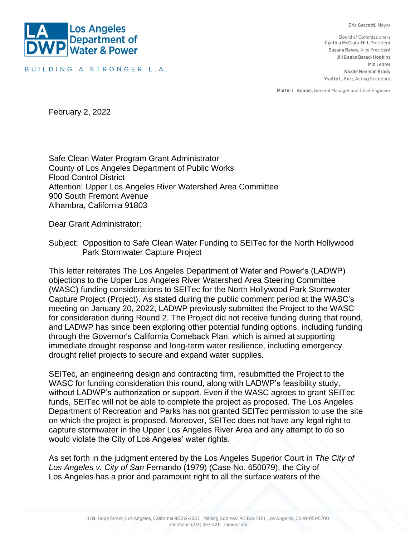Eric Garcetti, Mayor



BUILDING A STRONGER L.A.

**Board of Commissioners** Cynthia McClain-Hill, President Susana Reyes, Vice President Jill Banks Barad-Hopkins Mia Lehrer Nicole Neeman Brady Yvette L. Furr, Acting Secretary

Martin L. Adams, General Manager and Chief Engineer

February 2, 2022

Safe Clean Water Program Grant Administrator County of Los Angeles Department of Public Works Flood Control District Attention: Upper Los Angeles River Watershed Area Committee 900 South Fremont Avenue Alhambra, California 91803

Dear Grant Administrator:

Subject: Opposition to Safe Clean Water Funding to SEITec for the North Hollywood Park Stormwater Capture Project

This letter reiterates The Los Angeles Department of Water and Power's (LADWP) objections to the Upper Los Angeles River Watershed Area Steering Committee (WASC) funding considerations to SEITec for the North Hollywood Park Stormwater Capture Project (Project). As stated during the public comment period at the WASC's meeting on January 20, 2022, LADWP previously submitted the Project to the WASC for consideration during Round 2. The Project did not receive funding during that round, and LADWP has since been exploring other potential funding options, including funding through the Governor's California Comeback Plan, which is aimed at supporting immediate drought response and long-term water resilience, including emergency drought relief projects to secure and expand water supplies.

SEITec, an engineering design and contracting firm, resubmitted the Project to the WASC for funding consideration this round, along with LADWP's feasibility study, without LADWP's authorization or support. Even if the WASC agrees to grant SEITec funds, SEITec will not be able to complete the project as proposed. The Los Angeles Department of Recreation and Parks has not granted SEITec permission to use the site on which the project is proposed. Moreover, SEITec does not have any legal right to capture stormwater in the Upper Los Angeles River Area and any attempt to do so would violate the City of Los Angeles' water rights.

As set forth in the judgment entered by the Los Angeles Superior Court in *The City of Los Angeles v. City of San* Fernando (1979) (Case No. 650079), the City of Los Angeles has a prior and paramount right to all the surface waters of the